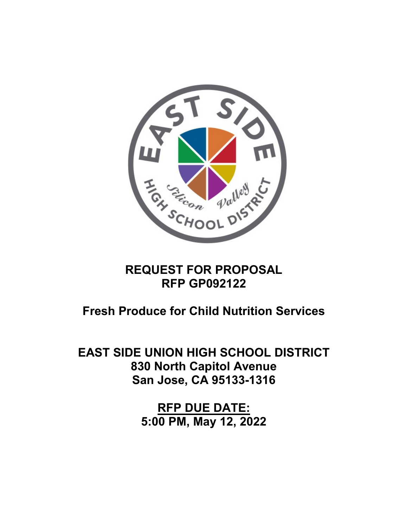

# **REQUEST FOR PROPOSAL RFP GP092122**

**Fresh Produce for Child Nutrition Services**

**EAST SIDE UNION HIGH SCHOOL DISTRICT 830 North Capitol Avenue San Jose, CA 95133-1316** 

> **RFP DUE DATE: 5:00 PM, May 12, 2022**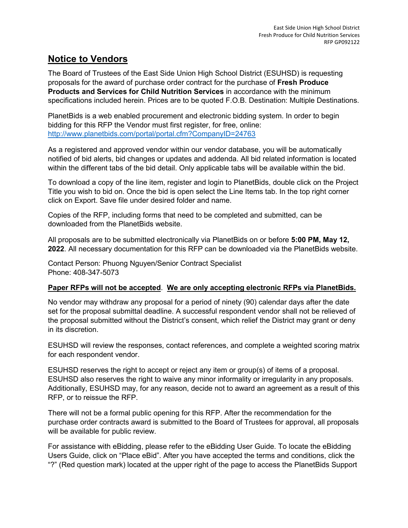### **Notice to Vendors**

The Board of Trustees of the East Side Union High School District (ESUHSD) is requesting proposals for the award of purchase order contract for the purchase of **Fresh Produce Products and Services for Child Nutrition Services** in accordance with the minimum specifications included herein. Prices are to be quoted F.O.B. Destination: Multiple Destinations.

PlanetBids is a web enabled procurement and electronic bidding system. In order to begin bidding for this RFP the Vendor must first register, for free, online: <http://www.planetbids.com/portal/portal.cfm?CompanyID=24763>

As a registered and approved vendor within our vendor database, you will be automatically notified of bid alerts, bid changes or updates and addenda. All bid related information is located within the different tabs of the bid detail. Only applicable tabs will be available within the bid.

To download a copy of the line item, register and login to PlanetBids, double click on the Project Title you wish to bid on. Once the bid is open select the Line Items tab. In the top right corner click on Export. Save file under desired folder and name.

Copies of the RFP, including forms that need to be completed and submitted, can be downloaded from the PlanetBids website.

All proposals are to be submitted electronically via PlanetBids on or before **5:00 PM, May 12, 2022**. All necessary documentation for this RFP can be downloaded via the PlanetBids website.

Contact Person: Phuong Nguyen/Senior Contract Specialist Phone: 408-347-5073

#### **Paper RFPs will not be accepted**. **We are only accepting electronic RFPs via PlanetBids.**

No vendor may withdraw any proposal for a period of ninety (90) calendar days after the date set for the proposal submittal deadline. A successful respondent vendor shall not be relieved of the proposal submitted without the District's consent, which relief the District may grant or deny in its discretion.

ESUHSD will review the responses, contact references, and complete a weighted scoring matrix for each respondent vendor.

ESUHSD reserves the right to accept or reject any item or group(s) of items of a proposal. ESUHSD also reserves the right to waive any minor informality or irregularity in any proposals. Additionally, ESUHSD may, for any reason, decide not to award an agreement as a result of this RFP, or to reissue the RFP.

There will not be a formal public opening for this RFP. After the recommendation for the purchase order contracts award is submitted to the Board of Trustees for approval, all proposals will be available for public review.

For assistance with eBidding, please refer to the eBidding User Guide. To locate the eBidding Users Guide, click on "Place eBid". After you have accepted the terms and conditions, click the "?" (Red question mark) located at the upper right of the page to access the PlanetBids Support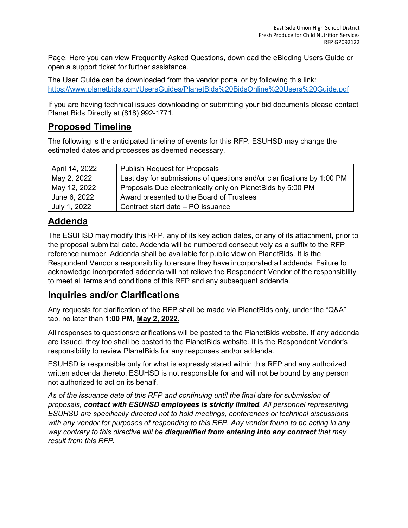Page. Here you can view Frequently Asked Questions, download the eBidding Users Guide or open a support ticket for further assistance.

The User Guide can be downloaded from the vendor portal or by following this link: <https://www.planetbids.com/UsersGuides/PlanetBids%20BidsOnline%20Users%20Guide.pdf>

If you are having technical issues downloading or submitting your bid documents please contact Planet Bids Directly at (818) 992-1771.

# **Proposed Timeline**

The following is the anticipated timeline of events for this RFP. ESUHSD may change the estimated dates and processes as deemed necessary.

| April 14, 2022 | <b>Publish Request for Proposals</b>                                   |
|----------------|------------------------------------------------------------------------|
| May 2, 2022    | Last day for submissions of questions and/or clarifications by 1:00 PM |
| May 12, 2022   | Proposals Due electronically only on PlanetBids by 5:00 PM             |
| June 6, 2022   | Award presented to the Board of Trustees                               |
| July 1, 2022   | Contract start date - PO issuance                                      |

# **Addenda**

The ESUHSD may modify this RFP, any of its key action dates, or any of its attachment, prior to the proposal submittal date. Addenda will be numbered consecutively as a suffix to the RFP reference number. Addenda shall be available for public view on PlanetBids. It is the Respondent Vendor's responsibility to ensure they have incorporated all addenda. Failure to acknowledge incorporated addenda will not relieve the Respondent Vendor of the responsibility to meet all terms and conditions of this RFP and any subsequent addenda.

### **Inquiries and/or Clarifications**

Any requests for clarification of the RFP shall be made via PlanetBids only, under the "Q&A" tab, no later than **1:00 PM, May 2, 2022.**

All responses to questions/clarifications will be posted to the PlanetBids website. If any addenda are issued, they too shall be posted to the PlanetBids website. It is the Respondent Vendor's responsibility to review PlanetBids for any responses and/or addenda.

ESUHSD is responsible only for what is expressly stated within this RFP and any authorized written addenda thereto. ESUHSD is not responsible for and will not be bound by any person not authorized to act on its behalf.

*As of the issuance date of this RFP and continuing until the final date for submission of proposals, contact with ESUHSD employees is strictly limited. All personnel representing ESUHSD are specifically directed not to hold meetings, conferences or technical discussions with any vendor for purposes of responding to this RFP. Any vendor found to be acting in any way contrary to this directive will be disqualified from entering into any contract that may result from this RFP.*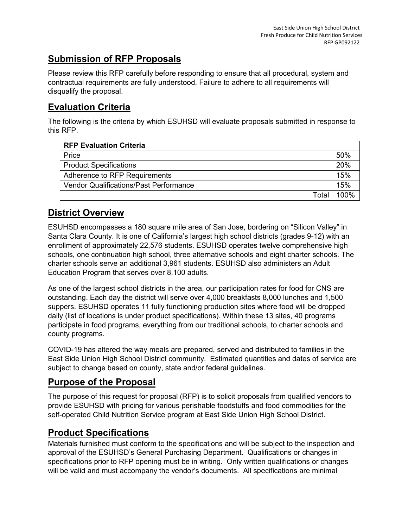# **Submission of RFP Proposals**

Please review this RFP carefully before responding to ensure that all procedural, system and contractual requirements are fully understood. Failure to adhere to all requirements will disqualify the proposal.

# **Evaluation Criteria**

The following is the criteria by which ESUHSD will evaluate proposals submitted in response to this RFP.

| <b>RFP Evaluation Criteria</b>                |      |  |  |
|-----------------------------------------------|------|--|--|
| Price                                         |      |  |  |
| <b>Product Specifications</b>                 |      |  |  |
| Adherence to RFP Requirements                 |      |  |  |
| <b>Vendor Qualifications/Past Performance</b> |      |  |  |
| Total                                         | 100% |  |  |

# **District Overview**

ESUHSD encompasses a 180 square mile area of San Jose, bordering on "Silicon Valley" in Santa Clara County. It is one of California's largest high school districts (grades 9-12) with an enrollment of approximately 22,576 students. ESUHSD operates twelve comprehensive high schools, one continuation high school, three alternative schools and eight charter schools. The charter schools serve an additional 3,961 students. ESUHSD also administers an Adult Education Program that serves over 8,100 adults.

As one of the largest school districts in the area, our participation rates for food for CNS are outstanding. Each day the district will serve over 4,000 breakfasts 8,000 lunches and 1,500 suppers. ESUHSD operates 11 fully functioning production sites where food will be dropped daily (list of locations is under product specifications). Within these 13 sites, 40 programs participate in food programs, everything from our traditional schools, to charter schools and county programs.

COVID-19 has altered the way meals are prepared, served and distributed to families in the East Side Union High School District community. Estimated quantities and dates of service are subject to change based on county, state and/or federal guidelines.

# **Purpose of the Proposal**

The purpose of this request for proposal (RFP) is to solicit proposals from qualified vendors to provide ESUHSD with pricing for various perishable foodstuffs and food commodities for the self-operated Child Nutrition Service program at East Side Union High School District.

### **Product Specifications**

Materials furnished must conform to the specifications and will be subject to the inspection and approval of the ESUHSD's General Purchasing Department. Qualifications or changes in specifications prior to RFP opening must be in writing. Only written qualifications or changes will be valid and must accompany the vendor's documents. All specifications are minimal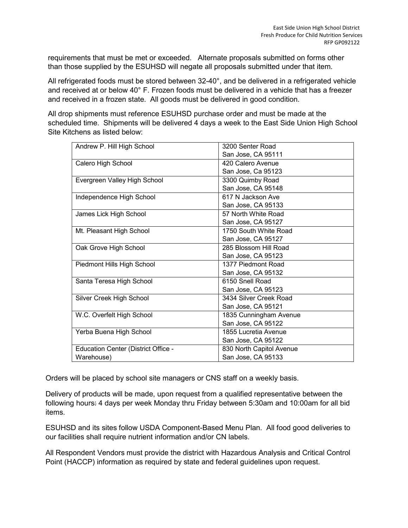requirements that must be met or exceeded. Alternate proposals submitted on forms other than those supplied by the ESUHSD will negate all proposals submitted under that item.

All refrigerated foods must be stored between 32-40°, and be delivered in a refrigerated vehicle and received at or below 40° F. Frozen foods must be delivered in a vehicle that has a freezer and received in a frozen state. All goods must be delivered in good condition.

All drop shipments must reference ESUHSD purchase order and must be made at the scheduled time. Shipments will be delivered 4 days a week to the East Side Union High School Site Kitchens as listed below:

| Andrew P. Hill High School          | 3200 Senter Road         |
|-------------------------------------|--------------------------|
|                                     | San Jose, CA 95111       |
| Calero High School                  | 420 Calero Avenue        |
|                                     | San Jose, Ca 95123       |
| Evergreen Valley High School        | 3300 Quimby Road         |
|                                     | San Jose, CA 95148       |
| Independence High School            | 617 N Jackson Ave        |
|                                     | San Jose, CA 95133       |
| James Lick High School              | 57 North White Road      |
|                                     | San Jose, CA 95127       |
| Mt. Pleasant High School            | 1750 South White Road    |
|                                     | San Jose, CA 95127       |
| Oak Grove High School               | 285 Blossom Hill Road    |
|                                     | San Jose, CA 95123       |
| Piedmont Hills High School          | 1377 Piedmont Road       |
|                                     | San Jose, CA 95132       |
| Santa Teresa High School            | 6150 Snell Road          |
|                                     | San Jose, CA 95123       |
| Silver Creek High School            | 3434 Silver Creek Road   |
|                                     | San Jose, CA 95121       |
| W.C. Overfelt High School           | 1835 Cunningham Avenue   |
|                                     | San Jose, CA 95122       |
| Yerba Buena High School             | 1855 Lucretia Avenue     |
|                                     | San Jose, CA 95122       |
| Education Center (District Office - | 830 North Capitol Avenue |
| Warehouse)                          | San Jose, CA 95133       |

Orders will be placed by school site managers or CNS staff on a weekly basis.

Delivery of products will be made, upon request from a qualified representative between the following hours: 4 days per week Monday thru Friday between 5:30am and 10:00am for all bid items.

ESUHSD and its sites follow USDA Component-Based Menu Plan. All food good deliveries to our facilities shall require nutrient information and/or CN labels.

All Respondent Vendors must provide the district with Hazardous Analysis and Critical Control Point (HACCP) information as required by state and federal guidelines upon request.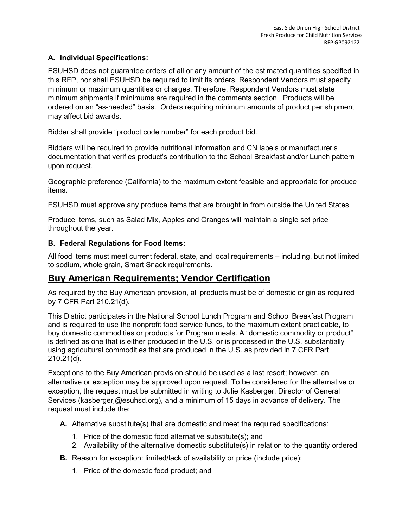#### **A. Individual Specifications:**

ESUHSD does not guarantee orders of all or any amount of the estimated quantities specified in this RFP, nor shall ESUHSD be required to limit its orders. Respondent Vendors must specify minimum or maximum quantities or charges. Therefore, Respondent Vendors must state minimum shipments if minimums are required in the comments section. Products will be ordered on an "as-needed" basis. Orders requiring minimum amounts of product per shipment may affect bid awards.

Bidder shall provide "product code number" for each product bid.

Bidders will be required to provide nutritional information and CN labels or manufacturer's documentation that verifies product's contribution to the School Breakfast and/or Lunch pattern upon request.

Geographic preference (California) to the maximum extent feasible and appropriate for produce items.

ESUHSD must approve any produce items that are brought in from outside the United States.

Produce items, such as Salad Mix, Apples and Oranges will maintain a single set price throughout the year.

#### **B. Federal Regulations for Food Items:**

All food items must meet current federal, state, and local requirements – including, but not limited to sodium, whole grain, Smart Snack requirements.

### **Buy American Requirements; Vendor Certification**

As required by the Buy American provision, all products must be of domestic origin as required by 7 CFR Part 210.21(d).

This District participates in the National School Lunch Program and School Breakfast Program and is required to use the nonprofit food service funds, to the maximum extent practicable, to buy domestic commodities or products for Program meals. A "domestic commodity or product" is defined as one that is either produced in the U.S. or is processed in the U.S. substantially using agricultural commodities that are produced in the U.S. as provided in 7 CFR Part 210.21(d).

Exceptions to the Buy American provision should be used as a last resort; however, an alternative or exception may be approved upon request. To be considered for the alternative or exception, the request must be submitted in writing to Julie Kasberger, Director of General Services (kasbergerj@esuhsd.org), and a minimum of 15 days in advance of delivery. The request must include the:

**A.** Alternative substitute(s) that are domestic and meet the required specifications:

- 1. Price of the domestic food alternative substitute(s); and
- 2. Availability of the alternative domestic substitute(s) in relation to the quantity ordered
- **B.** Reason for exception: limited/lack of availability or price (include price):
	- 1. Price of the domestic food product; and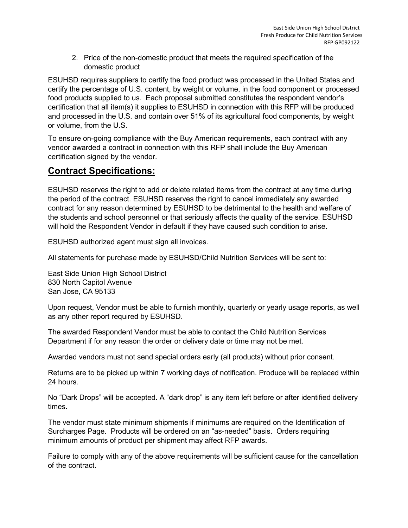2. Price of the non-domestic product that meets the required specification of the domestic product

ESUHSD requires suppliers to certify the food product was processed in the United States and certify the percentage of U.S. content, by weight or volume, in the food component or processed food products supplied to us. Each proposal submitted constitutes the respondent vendor's certification that all item(s) it supplies to ESUHSD in connection with this RFP will be produced and processed in the U.S. and contain over 51% of its agricultural food components, by weight or volume, from the U.S.

To ensure on-going compliance with the Buy American requirements, each contract with any vendor awarded a contract in connection with this RFP shall include the Buy American certification signed by the vendor.

### **Contract Specifications:**

ESUHSD reserves the right to add or delete related items from the contract at any time during the period of the contract. ESUHSD reserves the right to cancel immediately any awarded contract for any reason determined by ESUHSD to be detrimental to the health and welfare of the students and school personnel or that seriously affects the quality of the service. ESUHSD will hold the Respondent Vendor in default if they have caused such condition to arise.

ESUHSD authorized agent must sign all invoices.

All statements for purchase made by ESUHSD/Child Nutrition Services will be sent to:

East Side Union High School District 830 North Capitol Avenue San Jose, CA 95133

Upon request, Vendor must be able to furnish monthly, quarterly or yearly usage reports, as well as any other report required by ESUHSD.

The awarded Respondent Vendor must be able to contact the Child Nutrition Services Department if for any reason the order or delivery date or time may not be met.

Awarded vendors must not send special orders early (all products) without prior consent.

Returns are to be picked up within 7 working days of notification. Produce will be replaced within 24 hours.

No "Dark Drops" will be accepted. A "dark drop" is any item left before or after identified delivery times.

The vendor must state minimum shipments if minimums are required on the Identification of Surcharges Page. Products will be ordered on an "as-needed" basis. Orders requiring minimum amounts of product per shipment may affect RFP awards.

Failure to comply with any of the above requirements will be sufficient cause for the cancellation of the contract.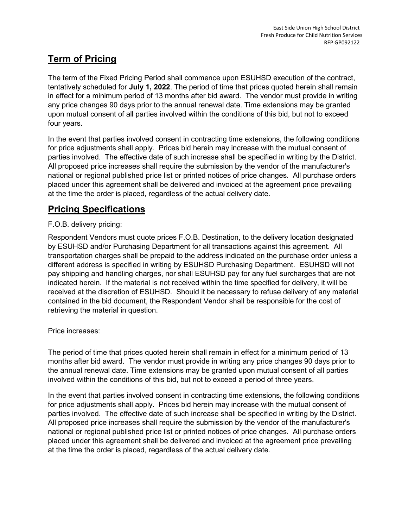# **Term of Pricing**

The term of the Fixed Pricing Period shall commence upon ESUHSD execution of the contract, tentatively scheduled for **July 1, 2022**. The period of time that prices quoted herein shall remain in effect for a minimum period of 13 months after bid award. The vendor must provide in writing any price changes 90 days prior to the annual renewal date. Time extensions may be granted upon mutual consent of all parties involved within the conditions of this bid, but not to exceed four years.

In the event that parties involved consent in contracting time extensions, the following conditions for price adjustments shall apply. Prices bid herein may increase with the mutual consent of parties involved. The effective date of such increase shall be specified in writing by the District. All proposed price increases shall require the submission by the vendor of the manufacturer's national or regional published price list or printed notices of price changes. All purchase orders placed under this agreement shall be delivered and invoiced at the agreement price prevailing at the time the order is placed, regardless of the actual delivery date.

# **Pricing Specifications**

#### F.O.B. delivery pricing:

Respondent Vendors must quote prices F.O.B. Destination, to the delivery location designated by ESUHSD and/or Purchasing Department for all transactions against this agreement. All transportation charges shall be prepaid to the address indicated on the purchase order unless a different address is specified in writing by ESUHSD Purchasing Department. ESUHSD will not pay shipping and handling charges, nor shall ESUHSD pay for any fuel surcharges that are not indicated herein. If the material is not received within the time specified for delivery, it will be received at the discretion of ESUHSD. Should it be necessary to refuse delivery of any material contained in the bid document, the Respondent Vendor shall be responsible for the cost of retrieving the material in question.

#### Price increases:

The period of time that prices quoted herein shall remain in effect for a minimum period of 13 months after bid award. The vendor must provide in writing any price changes 90 days prior to the annual renewal date. Time extensions may be granted upon mutual consent of all parties involved within the conditions of this bid, but not to exceed a period of three years.

In the event that parties involved consent in contracting time extensions, the following conditions for price adjustments shall apply. Prices bid herein may increase with the mutual consent of parties involved. The effective date of such increase shall be specified in writing by the District. All proposed price increases shall require the submission by the vendor of the manufacturer's national or regional published price list or printed notices of price changes. All purchase orders placed under this agreement shall be delivered and invoiced at the agreement price prevailing at the time the order is placed, regardless of the actual delivery date.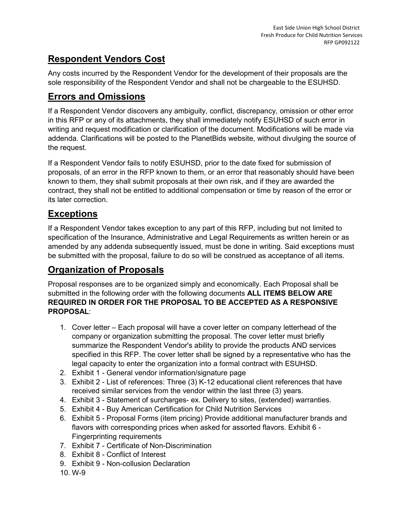# **Respondent Vendors Cost**

Any costs incurred by the Respondent Vendor for the development of their proposals are the sole responsibility of the Respondent Vendor and shall not be chargeable to the ESUHSD.

### **Errors and Omissions**

If a Respondent Vendor discovers any ambiguity, conflict, discrepancy, omission or other error in this RFP or any of its attachments, they shall immediately notify ESUHSD of such error in writing and request modification or clarification of the document. Modifications will be made via addenda. Clarifications will be posted to the PlanetBids website, without divulging the source of the request.

If a Respondent Vendor fails to notify ESUHSD, prior to the date fixed for submission of proposals, of an error in the RFP known to them, or an error that reasonably should have been known to them, they shall submit proposals at their own risk, and if they are awarded the contract, they shall not be entitled to additional compensation or time by reason of the error or its later correction.

# **Exceptions**

If a Respondent Vendor takes exception to any part of this RFP, including but not limited to specification of the Insurance, Administrative and Legal Requirements as written herein or as amended by any addenda subsequently issued, must be done in writing. Said exceptions must be submitted with the proposal, failure to do so will be construed as acceptance of all items.

### **Organization of Proposals**

Proposal responses are to be organized simply and economically. Each Proposal shall be submitted in the following order with the following documents **ALL ITEMS BELOW ARE REQUIRED IN ORDER FOR THE PROPOSAL TO BE ACCEPTED AS A RESPONSIVE PROPOSAL**:

- 1. Cover letter Each proposal will have a cover letter on company letterhead of the company or organization submitting the proposal. The cover letter must briefly summarize the Respondent Vendor's ability to provide the products AND services specified in this RFP. The cover letter shall be signed by a representative who has the legal capacity to enter the organization into a formal contract with ESUHSD.
- 2. Exhibit 1 General vendor information/signature page
- 3. Exhibit 2 List of references: Three (3) K-12 educational client references that have received similar services from the vendor within the last three (3) years.
- 4. Exhibit 3 Statement of surcharges- ex. Delivery to sites, (extended) warranties.
- 5. Exhibit 4 Buy American Certification for Child Nutrition Services
- 6. Exhibit 5 Proposal Forms (item pricing) Provide additional manufacturer brands and flavors with corresponding prices when asked for assorted flavors. Exhibit 6 - Fingerprinting requirements
- 7. Exhibit 7 Certificate of Non-Discrimination
- 8. Exhibit 8 Conflict of Interest
- 9. Exhibit 9 Non-collusion Declaration
- 10. W-9